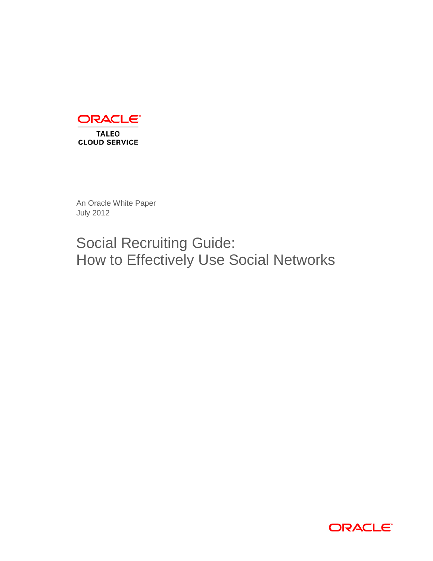

An Oracle White Paper July 2012

# Social Recruiting Guide: How to Effectively Use Social Networks

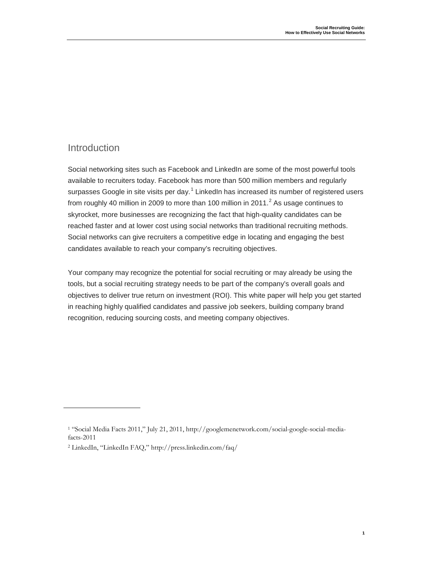#### Introduction

Social networking sites such as Facebook and LinkedIn are some of the most powerful tools available to recruiters today. Facebook has more than 500 million members and regularly surpasses Google in site visits per day.<sup>[1](#page-1-0)</sup> LinkedIn has increased its number of registered users from roughly 40 million in [2](#page-1-1)009 to more than 100 million in 2011.<sup>2</sup> As usage continues to skyrocket, more businesses are recognizing the fact that high-quality candidates can be reached faster and at lower cost using social networks than traditional recruiting methods. Social networks can give recruiters a competitive edge in locating and engaging the best candidates available to reach your company's recruiting objectives.

Your company may recognize the potential for social recruiting or may already be using the tools, but a social recruiting strategy needs to be part of the company's overall goals and objectives to deliver true return on investment (ROI). This white paper will help you get started in reaching highly qualified candidates and passive job seekers, building company brand recognition, reducing sourcing costs, and meeting company objectives.

<span id="page-1-0"></span><sup>1</sup> "Social Media Facts 2011," July 21, 2011, http://googlemenetwork.com/social-google-social-mediafacts-2011

<span id="page-1-1"></span><sup>2</sup> LinkedIn, "LinkedIn FAQ," http://press.linkedin.com/faq/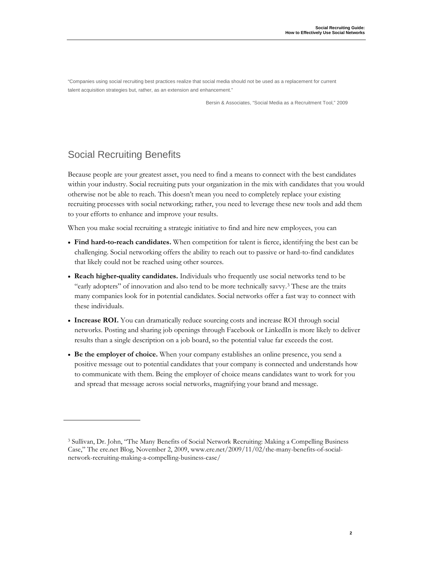"Companies using social recruiting best practices realize that social media should not be used as a replacement for current talent acquisition strategies but, rather, as an extension and enhancement."

Bersin & Associates, "Social Media as a Recruitment Tool," 2009

#### Social Recruiting Benefits

Because people are your greatest asset, you need to find a means to connect with the best candidates within your industry. Social recruiting puts your organization in the mix with candidates that you would otherwise not be able to reach. This doesn't mean you need to completely replace your existing recruiting processes with social networking; rather, you need to leverage these new tools and add them to your efforts to enhance and improve your results.

When you make social recruiting a strategic initiative to find and hire new employees, you can

- **Find hard-to-reach candidates.** When competition for talent is fierce, identifying the best can be challenging. Social networking offers the ability to reach out to passive or hard-to-find candidates that likely could not be reached using other sources.
- **Reach higher-quality candidates.** Individuals who frequently use social networks tend to be "early adopters" of innovation and also tend to be more technically savvy.[3](#page-2-0) These are the traits many companies look for in potential candidates. Social networks offer a fast way to connect with these individuals.
- **Increase ROI.** You can dramatically reduce sourcing costs and increase ROI through social networks. Posting and sharing job openings through Facebook or LinkedIn is more likely to deliver results than a single description on a job board, so the potential value far exceeds the cost.
- **Be the employer of choice.** When your company establishes an online presence, you send a positive message out to potential candidates that your company is connected and understands how to communicate with them. Being the employer of choice means candidates want to work for you and spread that message across social networks, magnifying your brand and message.

<span id="page-2-0"></span><sup>3</sup> Sullivan, Dr. John, "The Many Benefits of Social Network Recruiting: Making a Compelling Business Case," The ere.net Blog, November 2, 2009, www.ere.net/2009/11/02/the-many-benefits-of-socialnetwork-recruiting-making-a-compelling-business-case/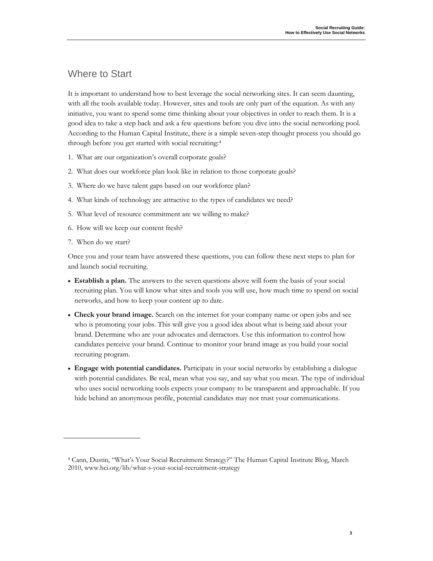#### Where to Start

It is important to understand how to best leverage the social networking sites. It can seem daunting, with all the tools available today. However, sites and tools are only part of the equation. As with any initiative, you want to spend some time thinking about your objectives in order to reach them. It is a good idea to take a step back and ask a few questions before you dive into the social networking pool. According to the Human Capital Institute, there is a simple seven-step thought process you should go through before you get started with social recruiting:[4](#page-3-0)

- 1. What are our organization's overall corporate goals?
- 2. What does our workforce plan look like in relation to those corporate goals?
- 3. Where do we have talent gaps based on our workforce plan?
- 4. What kinds of technology are attractive to the types of candidates we need?
- 5. What level of resource commitment are we willing to make?
- 6. How will we keep our content fresh?
- 7. When do we start?

Once you and your team have answered these questions, you can follow these next steps to plan for and launch social recruiting.

- **Establish a plan.** The answers to the seven questions above will form the basis of your social recruiting plan. You will know what sites and tools you will use, how much time to spend on social networks, and how to keep your content up to date.
- **Check your brand image.** Search on the internet for your company name or open jobs and see who is promoting your jobs. This will give you a good idea about what is being said about your brand. Determine who are your advocates and detractors. Use this information to control how candidates perceive your brand. Continue to monitor your brand image as you build your social recruiting program.
- **Engage with potential candidates.** Participate in your social networks by establishing a dialogue with potential candidates. Be real, mean what you say, and say what you mean. The type of individual who uses social networking tools expects your company to be transparent and approachable. If you hide behind an anonymous profile, potential candidates may not trust your communications.

<span id="page-3-0"></span><sup>4</sup> Cann, Dustin, "What's Your Social Recruitment Strategy?" The Human Capital Institute Blog, March 2010, www.hci.org/lib/what-s-your-social-recruitment-strategy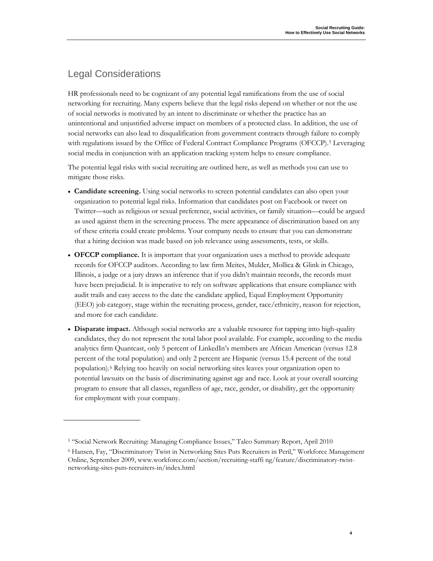**4**

### Legal Considerations

HR professionals need to be cognizant of any potential legal ramifications from the use of social networking for recruiting. Many experts believe that the legal risks depend on whether or not the use of social networks is motivated by an intent to discriminate or whether the practice has an unintentional and unjustified adverse impact on members of a protected class. In addition, the use of social networks can also lead to disqualification from government contracts through failure to comply with regulations issued by the Office of Federal Contract Compliance Programs (OFCCP).<sup>[5](#page-4-0)</sup> Leveraging social media in conjunction with an application tracking system helps to ensure compliance.

The potential legal risks with social recruiting are outlined here, as well as methods you can use to mitigate those risks.

- **Candidate screening.** Using social networks to screen potential candidates can also open your organization to potential legal risks. Information that candidates post on Facebook or tweet on Twitter—such as religious or sexual preference, social activities, or family situation—could be argued as used against them in the screening process. The mere appearance of discrimination based on any of these criteria could create problems. Your company needs to ensure that you can demonstrate that a hiring decision was made based on job relevance using assessments, tests, or skills.
- **OFCCP compliance.** It is important that your organization uses a method to provide adequate records for OFCCP auditors. According to law firm Meites, Mulder, Mollica & Glink in Chicago, Illinois, a judge or a jury draws an inference that if you didn't maintain records, the records must have been prejudicial. It is imperative to rely on software applications that ensure compliance with audit trails and easy access to the date the candidate applied, Equal Employment Opportunity (EEO) job category, stage within the recruiting process, gender, race/ethnicity, reason for rejection, and more for each candidate.
- **Disparate impact.** Although social networks are a valuable resource for tapping into high-quality candidates, they do not represent the total labor pool available. For example, according to the media analytics firm Quantcast, only 5 percent of LinkedIn's members are African American (versus 12.8 percent of the total population) and only 2 percent are Hispanic (versus 15.4 percent of the total population).[6](#page-4-1) Relying too heavily on social networking sites leaves your organization open to potential lawsuits on the basis of discriminating against age and race. Look at your overall sourcing program to ensure that all classes, regardless of age, race, gender, or disability, get the opportunity for employment with your company.

<span id="page-4-0"></span><sup>5</sup> "Social Network Recruiting: Managing Compliance Issues," Taleo Summary Report, April 2010

<span id="page-4-1"></span><sup>6</sup> Hansen, Fay, "Discriminatory Twist in Networking Sites Puts Recruiters in Peril," Workforce Management Online, September 2009, www.workforce.com/section/recruiting-staffi ng/feature/discriminatory-twistnetworking-sites-puts-recruiters-in/index.html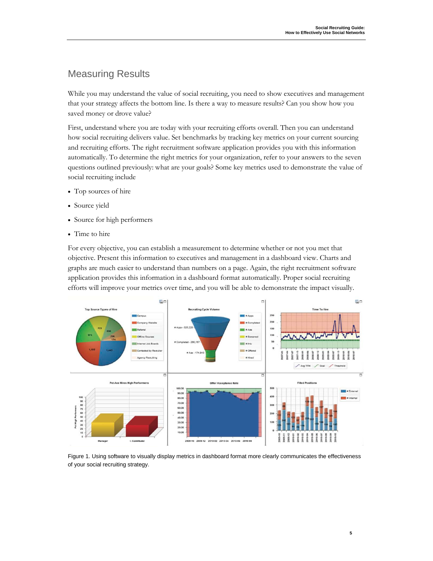### Measuring Results

While you may understand the value of social recruiting, you need to show executives and management that your strategy affects the bottom line. Is there a way to measure results? Can you show how you saved money or drove value?

First, understand where you are today with your recruiting efforts overall. Then you can understand how social recruiting delivers value. Set benchmarks by tracking key metrics on your current sourcing and recruiting efforts. The right recruitment software application provides you with this information automatically. To determine the right metrics for your organization, refer to your answers to the seven questions outlined previously: what are your goals? Some key metrics used to demonstrate the value of social recruiting include

- Top sources of hire
- Source yield
- Source for high performers
- Time to hire

For every objective, you can establish a measurement to determine whether or not you met that objective. Present this information to executives and management in a dashboard view. Charts and graphs are much easier to understand than numbers on a page. Again, the right recruitment software application provides this information in a dashboard format automatically. Proper social recruiting efforts will improve your metrics over time, and you will be able to demonstrate the impact visually.



Figure 1. Using software to visually display metrics in dashboard format more clearly communicates the effectiveness of your social recruiting strategy.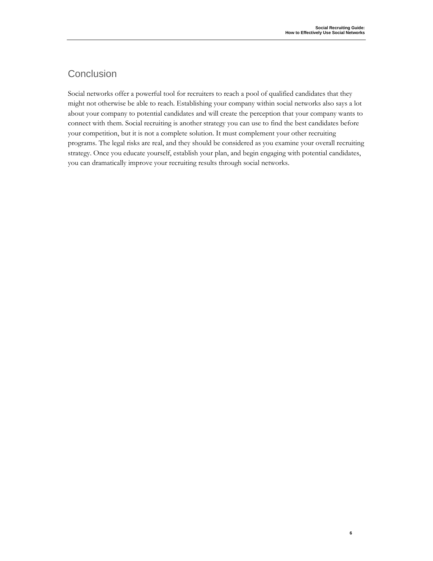**6**

## **Conclusion**

Social networks offer a powerful tool for recruiters to reach a pool of qualified candidates that they might not otherwise be able to reach. Establishing your company within social networks also says a lot about your company to potential candidates and will create the perception that your company wants to connect with them. Social recruiting is another strategy you can use to find the best candidates before your competition, but it is not a complete solution. It must complement your other recruiting programs. The legal risks are real, and they should be considered as you examine your overall recruiting strategy. Once you educate yourself, establish your plan, and begin engaging with potential candidates, you can dramatically improve your recruiting results through social networks.